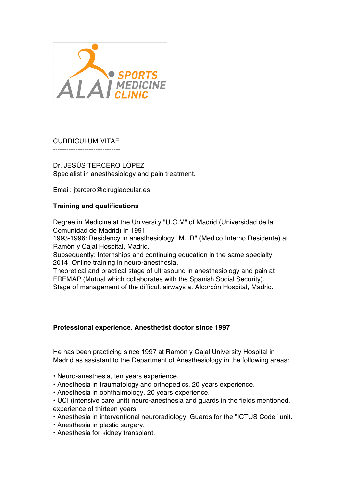

# CURRICULUM VITAE

------------------------------

Dr. JESÚS TERCERO LÓPEZ Specialist in anesthesiology and pain treatment.

Email: jtercero@cirugiaocular.es

## **Training and qualifications**

Degree in Medicine at the University "U.C.M" of Madrid (Universidad de la Comunidad de Madrid) in 1991

1993-1996: Residency in anesthesiology "M.I.R" (Medico Interno Residente) at Ramón y Cajal Hospital, Madrid.

Subsequently: Internships and continuing education in the same specialty 2014: Online training in neuro-anesthesia.

Theoretical and practical stage of ultrasound in anesthesiology and pain at FREMAP (Mutual which collaborates with the Spanish Social Security). Stage of management of the difficult airways at Alcorcón Hospital, Madrid.

## **Professional experience. Anesthetist doctor since 1997**

He has been practicing since 1997 at Ramón y Cajal University Hospital in Madrid as assistant to the Department of Anesthesiology in the following areas:

• Neuro-anesthesia, ten years experience.

- Anesthesia in traumatology and orthopedics, 20 years experience.
- Anesthesia in ophthalmology, 20 years experience.
- UCI (intensive care unit) neuro-anesthesia and guards in the fields mentioned, experience of thirteen years.
- Anesthesia in interventional neuroradiology. Guards for the "ICTUS Code" unit.
- Anesthesia in plastic surgery.
- Anesthesia for kidney transplant.